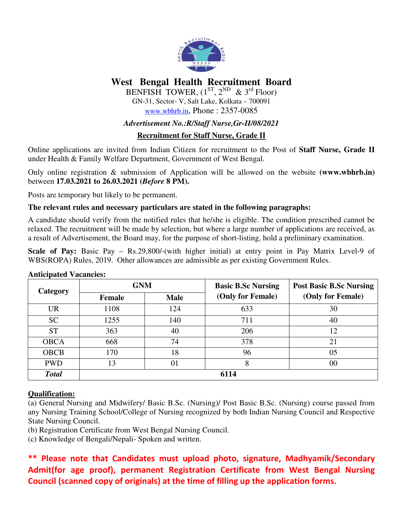

# **West Bengal Health Recruitment Board**

BENFISH TOWER,  $(1^{ST}, 2^{ND} \& 3^{rd}$  Floor) GN-31, Sector- V, Salt Lake, Kolkata – 700091 www.wbhrb.in, Phone : 2357-0085

### *Advertisement No.:R/Staff Nurse,Gr-II/08/2021*

## **Recruitment for Staff Nurse, Grade II**

Online applications are invited from Indian Citizen for recruitment to the Post of **Staff Nurse, Grade II**  under Health & Family Welfare Department, Government of West Bengal.

Only online registration & submission of Application will be allowed on the website **(www.wbhrb.in)** between **17.03.2021 to 26.03.2021 (***Before* **8 PM).** 

Posts are temporary but likely to be permanent.

### **The relevant rules and necessary particulars are stated in the following paragraphs:**

A candidate should verify from the notified rules that he/she is eligible. The condition prescribed cannot be relaxed. The recruitment will be made by selection, but where a large number of applications are received, as a result of Advertisement, the Board may, for the purpose of short-listing, hold a preliminary examination.

**Scale of Pay:** Basic Pay – Rs.29,800/-(with higher initial) at entry point in Pay Matrix Level-9 of WBS(ROPA) Rules, 2019. Other allowances are admissible as per existing Government Rules.

| Category     | <b>GNM</b> |             | <b>Basic B.Sc Nursing</b> | <b>Post Basic B.Sc Nursing</b> |  |  |  |  |  |
|--------------|------------|-------------|---------------------------|--------------------------------|--|--|--|--|--|
|              | Female     | <b>Male</b> | (Only for Female)         | (Only for Female)              |  |  |  |  |  |
| <b>UR</b>    | 1108       | 124         | 633                       | 30                             |  |  |  |  |  |
| <b>SC</b>    | 1255       | 140         | 711                       | 40                             |  |  |  |  |  |
| <b>ST</b>    | 363        | 40          | 206                       | 12                             |  |  |  |  |  |
| <b>OBCA</b>  | 668        | 74          | 378                       | 21                             |  |  |  |  |  |
| <b>OBCB</b>  | 170        | 18          | 96                        | 05                             |  |  |  |  |  |
| <b>PWD</b>   | 13         | 01          | 8                         | 00                             |  |  |  |  |  |
| <b>Total</b> | 6114       |             |                           |                                |  |  |  |  |  |

#### **Anticipated Vacancies:**

### **Qualification:**

(a) General Nursing and Midwifery/ Basic B.Sc. (Nursing)/ Post Basic B.Sc. (Nursing) course passed from any Nursing Training School/College of Nursing recognized by both Indian Nursing Council and Respective State Nursing Council.

(b) Registration Certificate from West Bengal Nursing Council.

(c) Knowledge of Bengali/Nepali- Spoken and written.

**\*\* Please note that Candidates must upload photo, signature, Madhyamik/Secondary Admit(for age proof), permanent Registration Certificate from West Bengal Nursing Council (scanned copy of originals) at the time of filling up the application forms.**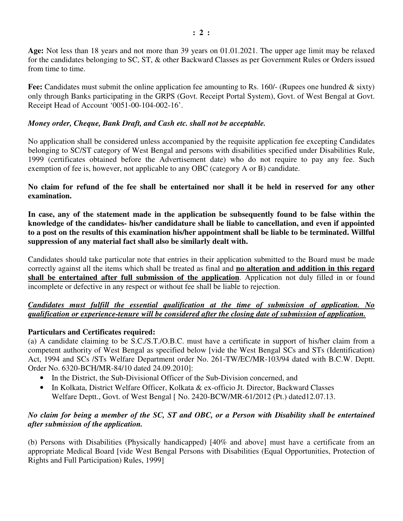**Age:** Not less than 18 years and not more than 39 years on 01.01.2021. The upper age limit may be relaxed for the candidates belonging to SC, ST, & other Backward Classes as per Government Rules or Orders issued from time to time.

Fee: Candidates must submit the online application fee amounting to Rs. 160/- (Rupees one hundred & sixty) only through Banks participating in the GRPS (Govt. Receipt Portal System), Govt. of West Bengal at Govt. Receipt Head of Account '0051-00-104-002-16'.

## *Money order, Cheque, Bank Draft, and Cash etc. shall not be acceptable.*

No application shall be considered unless accompanied by the requisite application fee excepting Candidates belonging to SC/ST category of West Bengal and persons with disabilities specified under Disabilities Rule, 1999 (certificates obtained before the Advertisement date) who do not require to pay any fee. Such exemption of fee is, however, not applicable to any OBC (category A or B) candidate.

## **No claim for refund of the fee shall be entertained nor shall it be held in reserved for any other examination.**

**In case, any of the statement made in the application be subsequently found to be false within the knowledge of the candidates- his/her candidature shall be liable to cancellation, and even if appointed to a post on the results of this examination his/her appointment shall be liable to be terminated. Willful suppression of any material fact shall also be similarly dealt with.** 

Candidates should take particular note that entries in their application submitted to the Board must be made correctly against all the items which shall be treated as final and **no alteration and addition in this regard shall be entertained after full submission of the application**. Application not duly filled in or found incomplete or defective in any respect or without fee shall be liable to rejection.

## *Candidates must fulfill the essential qualification at the time of submission of application. No qualification or experience-tenure will be considered after the closing date of submission of application.*

### **Particulars and Certificates required:**

(a) A candidate claiming to be S.C./S.T./O.B.C. must have a certificate in support of his/her claim from a competent authority of West Bengal as specified below [vide the West Bengal SCs and STs (Identification) Act, 1994 and SCs /STs Welfare Department order No. 261-TW/EC/MR-103/94 dated with B.C.W. Deptt. Order No. 6320-BCH/MR-84/10 dated 24.09.2010]:

- In the District, the Sub-Divisional Officer of the Sub-Division concerned, and
- In Kolkata, District Welfare Officer, Kolkata & ex-officio Jt. Director, Backward Classes Welfare Deptt., Govt. of West Bengal [ No. 2420-BCW/MR-61/2012 (Pt.) dated12.07.13.

### *No claim for being a member of the SC, ST and OBC, or a Person with Disability shall be entertained after submission of the application.*

(b) Persons with Disabilities (Physically handicapped) [40% and above] must have a certificate from an appropriate Medical Board [vide West Bengal Persons with Disabilities (Equal Opportunities, Protection of Rights and Full Participation) Rules, 1999]